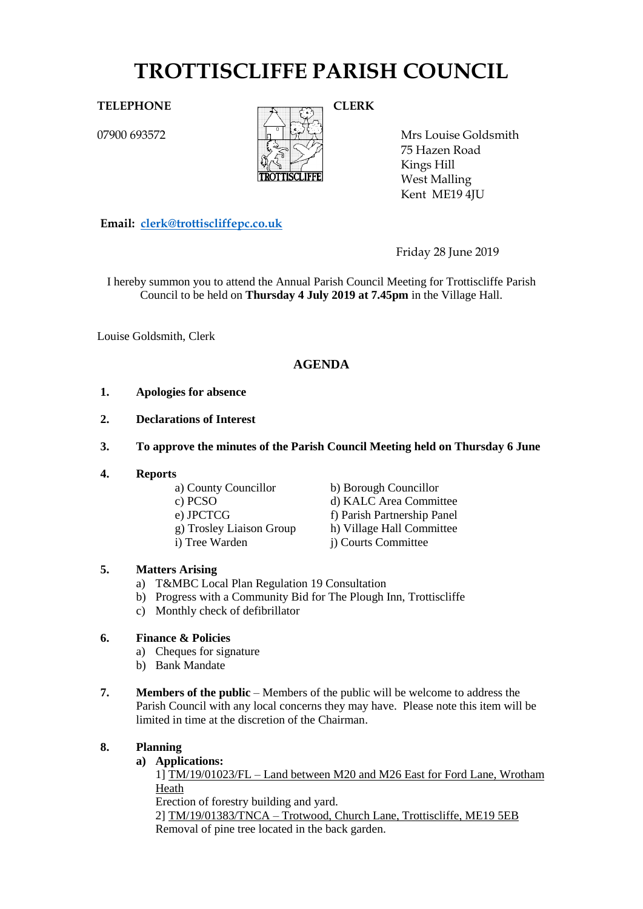# **TROTTISCLIFFE PARISH COUNCIL**

07900 693572



Mrs Louise Goldsmith 75 Hazen Road Kings Hill West Malling Kent ME19 4JU

**Email: [clerk@trottiscliffepc.co.uk](mailto:clerk@trottiscliffepc.co.uk)**

Friday 28 June 2019

I hereby summon you to attend the Annual Parish Council Meeting for Trottiscliffe Parish Council to be held on **Thursday 4 July 2019 at 7.45pm** in the Village Hall.

Louise Goldsmith, Clerk

# **AGENDA**

- **1. Apologies for absence**
- **2. Declarations of Interest**
- **3. To approve the minutes of the Parish Council Meeting held on Thursday 6 June**
- **4. Reports**
	- a) County Councillor b) Borough Councillor c) PCSO d) KALC Area Committee e) JPCTCG<br>
	g) Trosley Liaison Group<br>
	h) Village Hall Committee g) Trosley Liaison Group i) Tree Warden j) Courts Committee

# **5. Matters Arising**

- a) T&MBC Local Plan Regulation 19 Consultation
- b) Progress with a Community Bid for The Plough Inn, Trottiscliffe
- c) Monthly check of defibrillator

# **6. Finance & Policies**

- a) Cheques for signature
- b) Bank Mandate
- **7. Members of the public** Members of the public will be welcome to address the Parish Council with any local concerns they may have. Please note this item will be limited in time at the discretion of the Chairman.

### **8. Planning**

### **a) Applications:**

1] TM/19/01023/FL – Land between M20 and M26 East for Ford Lane, Wrotham Heath

Erection of forestry building and yard.

2] TM/19/01383/TNCA – Trotwood, Church Lane, Trottiscliffe, ME19 5EB Removal of pine tree located in the back garden.